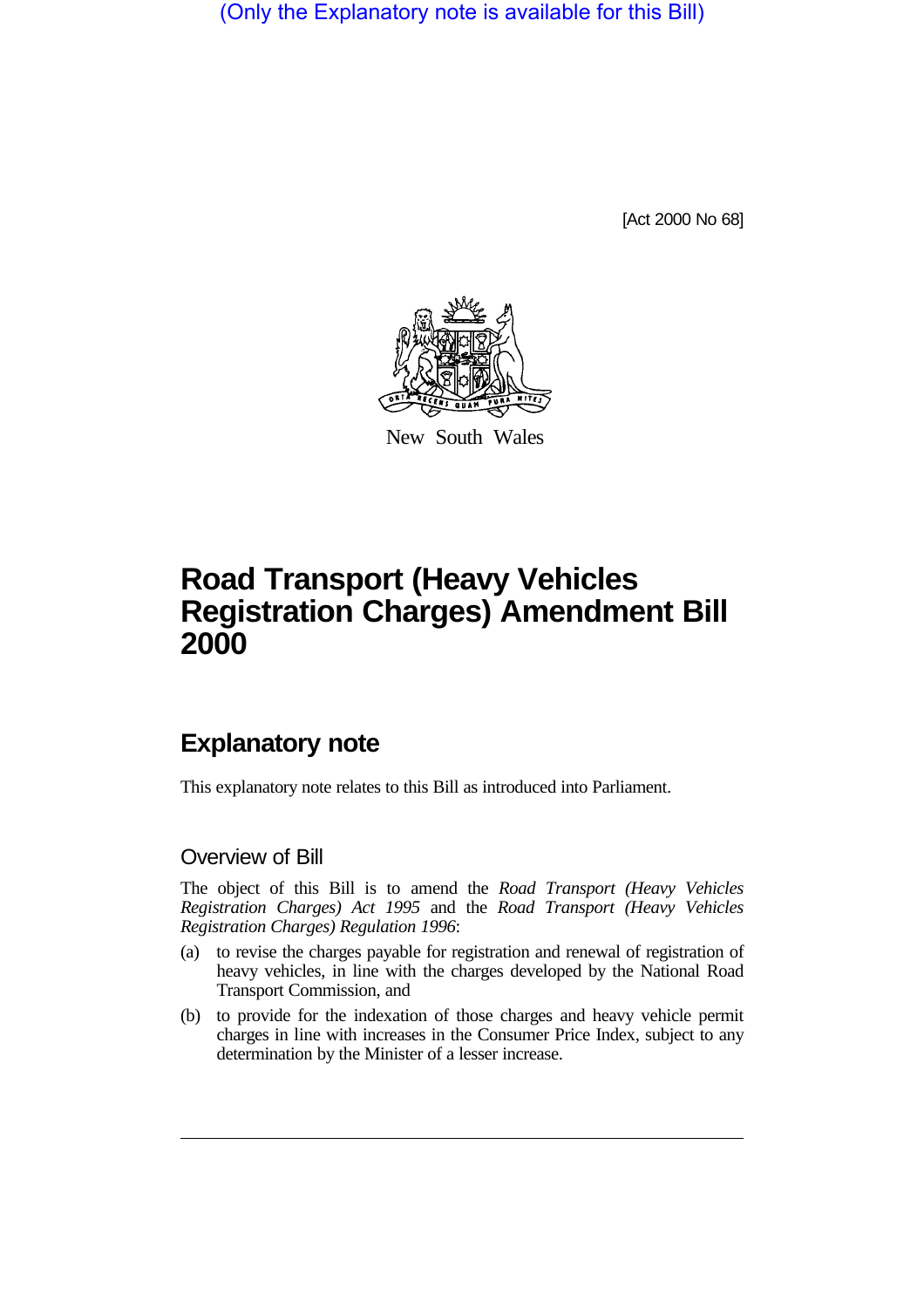(Only the Explanatory note is available for this Bill)

[Act 2000 No 68]



New South Wales

## **Road Transport (Heavy Vehicles Registration Charges) Amendment Bill 2000**

## **Explanatory note**

This explanatory note relates to this Bill as introduced into Parliament.

## Overview of Bill

The object of this Bill is to amend the *Road Transport (Heavy Vehicles Registration Charges) Act 1995* and the *Road Transport (Heavy Vehicles Registration Charges) Regulation 1996*:

- (a) to revise the charges payable for registration and renewal of registration of heavy vehicles, in line with the charges developed by the National Road Transport Commission, and
- (b) to provide for the indexation of those charges and heavy vehicle permit charges in line with increases in the Consumer Price Index, subject to any determination by the Minister of a lesser increase.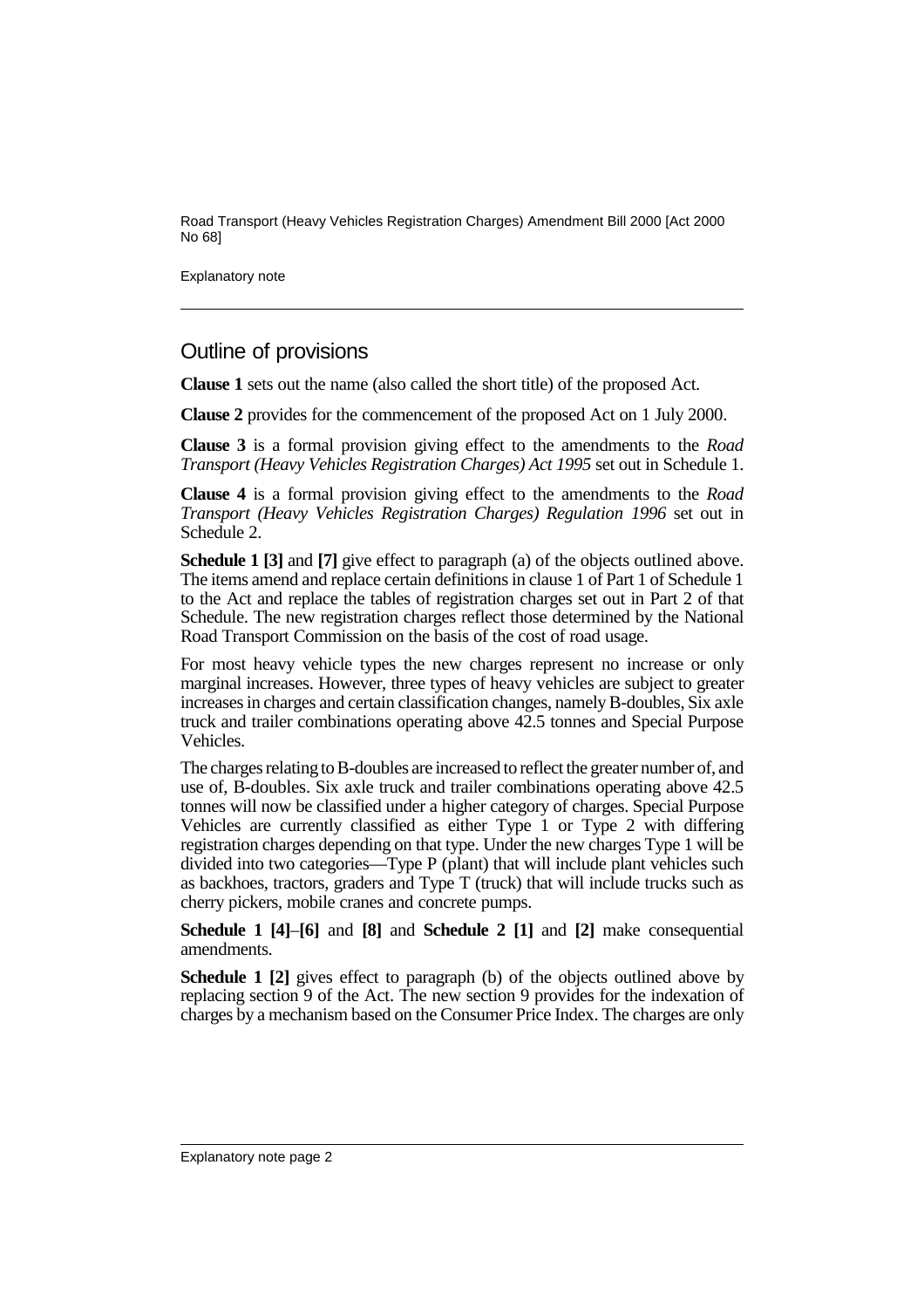Road Transport (Heavy Vehicles Registration Charges) Amendment Bill 2000 [Act 2000 No 68]

Explanatory note

## Outline of provisions

**Clause 1** sets out the name (also called the short title) of the proposed Act.

**Clause 2** provides for the commencement of the proposed Act on 1 July 2000.

**Clause 3** is a formal provision giving effect to the amendments to the *Road Transport (Heavy Vehicles Registration Charges) Act 1995* set out in Schedule 1.

**Clause 4** is a formal provision giving effect to the amendments to the *Road Transport (Heavy Vehicles Registration Charges) Regulation 1996* set out in Schedule 2.

**Schedule 1 [3]** and **[7]** give effect to paragraph (a) of the objects outlined above. The items amend and replace certain definitions in clause 1 of Part 1 of Schedule 1 to the Act and replace the tables of registration charges set out in Part 2 of that Schedule. The new registration charges reflect those determined by the National Road Transport Commission on the basis of the cost of road usage.

For most heavy vehicle types the new charges represent no increase or only marginal increases. However, three types of heavy vehicles are subject to greater increases in charges and certain classification changes, namely B-doubles, Six axle truck and trailer combinations operating above 42.5 tonnes and Special Purpose Vehicles.

The charges relating to B-doubles are increased to reflect the greater number of, and use of, B-doubles. Six axle truck and trailer combinations operating above 42.5 tonnes will now be classified under a higher category of charges. Special Purpose Vehicles are currently classified as either Type 1 or Type 2 with differing registration charges depending on that type. Under the new charges Type 1 will be divided into two categories—Type P (plant) that will include plant vehicles such as backhoes, tractors, graders and Type T (truck) that will include trucks such as cherry pickers, mobile cranes and concrete pumps.

**Schedule 1 [4]**–**[6]** and **[8]** and **Schedule 2 [1]** and **[2]** make consequential amendments.

**Schedule 1 [2]** gives effect to paragraph (b) of the objects outlined above by replacing section 9 of the Act. The new section 9 provides for the indexation of charges by a mechanism based on the Consumer Price Index. The charges are only